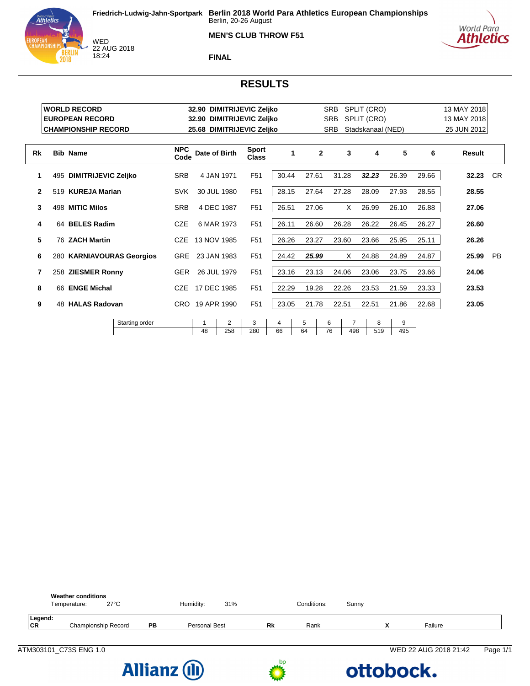



WED<br>22 AUG 2018 18:24

**FINAL**

# **RESULTS**

|              |     | <b>WORLD RECORD</b>        |                           |                    |                 |             | 32.90 DIMITRIJEVIC Zeljko |         |              | <b>SRB</b> |                       | SPLIT (CRO)       |          |       | 13 MAY 2018 |           |
|--------------|-----|----------------------------|---------------------------|--------------------|-----------------|-------------|---------------------------|---------|--------------|------------|-----------------------|-------------------|----------|-------|-------------|-----------|
|              |     | <b>EUROPEAN RECORD</b>     |                           |                    |                 |             | 32.90 DIMITRIJEVIC Zeljko |         |              | <b>SRB</b> |                       | SPLIT (CRO)       |          |       | 13 MAY 2018 |           |
|              |     | <b>CHAMPIONSHIP RECORD</b> |                           |                    |                 |             | 25.68 DIMITRIJEVIC Zeljko |         |              | <b>SRB</b> |                       | Stadskanaal (NED) |          |       | 25 JUN 2012 |           |
| Rk           |     | <b>Bib Name</b>            |                           | <b>NPC</b><br>Code | Date of Birth   |             | <b>Sport</b><br>Class     | 1       | $\mathbf{2}$ |            | 3                     | 4                 | 5        | 6     | Result      |           |
| 1            | 495 | <b>DIMITRIJEVIC Zeljko</b> |                           | <b>SRB</b>         |                 | 4 JAN 1971  | F <sub>51</sub>           | 30.44   | 27.61        |            | 31.28                 | 32.23             | 26.39    | 29.66 | 32.23       | <b>CR</b> |
| $\mathbf{2}$ |     | 519 KUREJA Marian          |                           | <b>SVK</b>         |                 | 30 JUL 1980 | F <sub>51</sub>           | 28.15   | 27.64        |            | 27.28                 | 28.09             | 27.93    | 28.55 | 28.55       |           |
| 3            |     | 498 MITIC Milos            |                           | <b>SRB</b>         |                 | 4 DEC 1987  | F <sub>51</sub>           | 26.51   | 27.06        |            | X                     | 26.99             | 26.10    | 26.88 | 27.06       |           |
| 4            |     | 64 BELES Radim             |                           | <b>CZE</b>         |                 | 6 MAR 1973  | F <sub>51</sub>           | 26.11   | 26.60        |            | 26.28                 | 26.22             | 26.45    | 26.27 | 26.60       |           |
| 5            |     | 76 ZACH Martin             |                           | <b>CZE</b>         | 13 NOV 1985     |             | F <sub>51</sub>           | 26.26   | 23.27        |            | 23.60                 | 23.66             | 25.95    | 25.11 | 26.26       |           |
| 6            |     |                            | 280 KARNIAVOURAS Georgios | <b>GRE</b>         |                 | 23 JAN 1983 | F <sub>51</sub>           | 24.42   | 25.99        |            | X                     | 24.88             | 24.89    | 24.87 | 25.99       | <b>PB</b> |
| 7            |     | 258 ZIESMER Ronny          |                           | <b>GER</b>         |                 | 26 JUL 1979 | F <sub>51</sub>           | 23.16   | 23.13        |            | 24.06                 | 23.06             | 23.75    | 23.66 | 24.06       |           |
| 8            |     | 66 ENGE Michal             |                           | <b>CZE</b>         | 17 DEC 1985     |             | F <sub>51</sub>           | 22.29   | 19.28        |            | 22.26                 | 23.53             | 21.59    | 23.33 | 23.53       |           |
| 9            |     | 48 HALAS Radovan           |                           |                    | CRO 19 APR 1990 |             | F <sub>51</sub>           | 23.05   | 21.78        |            | 22.51                 | 22.51             | 21.86    | 22.68 | 23.05       |           |
|              |     |                            | Starting order            |                    | 1<br>48         | 2<br>258    | 3<br>280                  | 4<br>66 | 5<br>64      | 6<br>76    | $\overline{7}$<br>498 | 8<br>519          | 9<br>495 |       |             |           |



ATM303101\_C73S ENG 1.0 WED 22 AUG 2018 21:42 Page 1/1





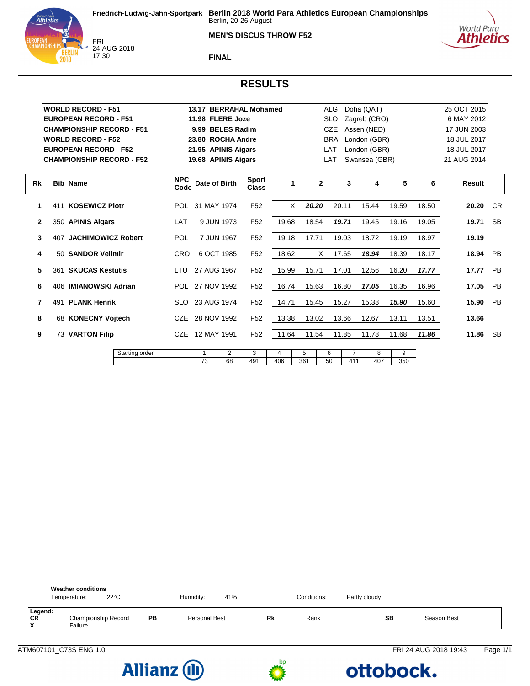#### **MEN'S DISCUS THROW F52**





FRI<br>24 AUG 2018 17:30

**FINAL**

# **RESULTS**

|              |     | <b>WORLD RECORD - F51</b>        |                |                    |                 |                     | 13.17 BERRAHAL Mohamed       |          |          | <b>ALG</b>   |                       | Doha (QAT)    |          |       | 25 OCT 2015   |           |
|--------------|-----|----------------------------------|----------------|--------------------|-----------------|---------------------|------------------------------|----------|----------|--------------|-----------------------|---------------|----------|-------|---------------|-----------|
|              |     | <b>EUROPEAN RECORD - F51</b>     |                |                    |                 | 11.98 FLERE Joze    |                              |          |          | <b>SLO</b>   |                       | Zagreb (CRO)  |          |       | 6 MAY 2012    |           |
|              |     | <b>CHAMPIONSHIP RECORD - F51</b> |                |                    |                 | 9.99 BELES Radim    |                              |          |          | <b>CZE</b>   |                       | Assen (NED)   |          |       | 17 JUN 2003   |           |
|              |     | <b>WORLD RECORD - F52</b>        |                |                    |                 | 23.80 ROCHA Andre   |                              |          |          | <b>BRA</b>   |                       | London (GBR)  |          |       | 18 JUL 2017   |           |
|              |     | <b>EUROPEAN RECORD - F52</b>     |                |                    |                 | 21.95 APINIS Aigars |                              |          |          | LAT          |                       | London (GBR)  |          |       | 18 JUL 2017   |           |
|              |     | <b>CHAMPIONSHIP RECORD - F52</b> |                |                    |                 | 19.68 APINIS Aigars |                              |          |          | LAT          |                       | Swansea (GBR) |          |       | 21 AUG 2014   |           |
| Rk           |     | <b>Bib Name</b>                  |                | <b>NPC</b><br>Code | Date of Birth   |                     | <b>Sport</b><br><b>Class</b> | 1        |          | $\mathbf{2}$ | 3                     | 4             | 5        | 6     | <b>Result</b> |           |
| 1            | 411 | <b>KOSEWICZ Piotr</b>            |                |                    | POL 31 MAY 1974 |                     | F <sub>52</sub>              | X        | 20.20    |              | 20.11                 | 15.44         | 19.59    | 18.50 | 20.20         | <b>CR</b> |
| $\mathbf{2}$ |     | 350 APINIS Aigars                |                | LAT                |                 | 9 JUN 1973          | F <sub>52</sub>              | 19.68    | 18.54    |              | 19.71                 | 19.45         | 19.16    | 19.05 | 19.71         | <b>SB</b> |
| 3            | 407 | <b>JACHIMOWICZ Robert</b>        |                | POL                |                 | 7 JUN 1967          | F <sub>52</sub>              | 19.18    | 17.71    |              | 19.03                 | 18.72         | 19.19    | 18.97 | 19.19         |           |
| 4            |     | 50 SANDOR Velimir                |                | <b>CRO</b>         |                 | 6 OCT 1985          | F <sub>52</sub>              | 18.62    |          | X            | 17.65                 | 18.94         | 18.39    | 18.17 | 18.94         | <b>PB</b> |
| 5            |     | 361 SKUCAS Kestutis              |                | LTU                | 27 AUG 1967     |                     | F <sub>52</sub>              | 15.99    | 15.71    |              | 17.01                 | 12.56         | 16.20    | 17.77 | 17.77         | PB        |
| 6            |     | 406 IMIANOWSKI Adrian            |                |                    | POL 27 NOV 1992 |                     | F <sub>52</sub>              | 16.74    | 15.63    |              | 16.80                 | 17.05         | 16.35    | 16.96 | 17.05         | PB        |
| 7            | 491 | <b>PLANK Henrik</b>              |                | <b>SLO</b>         | 23 AUG 1974     |                     | F <sub>52</sub>              | 14.71    | 15.45    |              | 15.27                 | 15.38         | 15.90    | 15.60 | 15.90         | <b>PB</b> |
| 8            |     | 68 KONECNY Voitech               |                |                    | 28 NOV 1992     |                     | F <sub>52</sub>              | 13.38    | 13.02    |              | 13.66                 | 12.67         | 13.11    | 13.51 | 13.66         |           |
| 9            |     | 73 VARTON Filip                  |                | <b>CZE</b>         | 12 MAY 1991     |                     | F <sub>52</sub>              | 11.64    | 11.54    |              | 11.85                 | 11.78         | 11.68    | 11.86 | 11.86         | <b>SB</b> |
|              |     |                                  | Starting order |                    | 1<br>73         | 2<br>68             | 3<br>491                     | 4<br>406 | 5<br>361 | 6<br>50      | $\overline{7}$<br>411 | 8<br>407      | 9<br>350 |       |               |           |
|              |     |                                  |                |                    |                 |                     |                              |          |          |              |                       |               |          |       |               |           |

|                    | <b>Weather conditions</b><br>$22^{\circ}$ C<br>Temperature: |    | Humidity:     | 41% |    | Conditions: | Partly cloudy |             |
|--------------------|-------------------------------------------------------------|----|---------------|-----|----|-------------|---------------|-------------|
| Legend:<br>CR<br>x | Championship Record<br>Failure                              | PB | Personal Best |     | Rk | Rank        | SB            | Season Best |



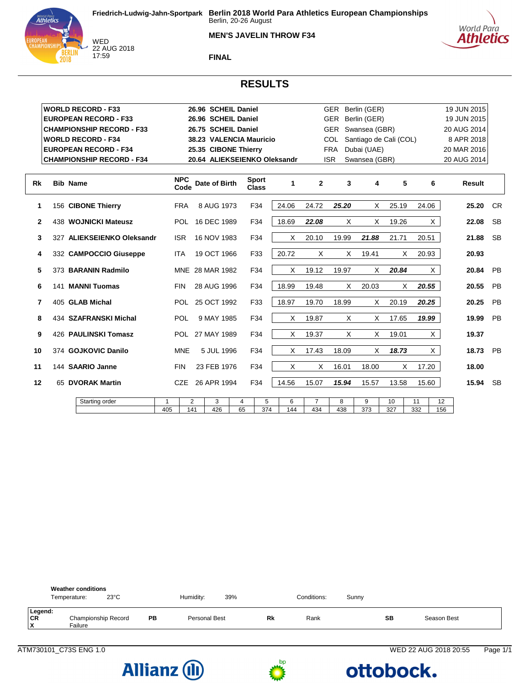





WED 22 AUG 2018 17:59

**FINAL**

#### **RESULTS**

|              | <b>WORLD RECORD - F33</b>        |            |                    | 26.96 SCHEIL Daniel          |    |                              |       |                |            | GER Berlin (GER)       |       |          | 19 JUN 2015 |                |
|--------------|----------------------------------|------------|--------------------|------------------------------|----|------------------------------|-------|----------------|------------|------------------------|-------|----------|-------------|----------------|
|              | <b>EUROPEAN RECORD - F33</b>     |            |                    | 26.96 SCHEIL Daniel          |    |                              |       |                |            | GER Berlin (GER)       |       |          | 19 JUN 2015 |                |
|              | <b>CHAMPIONSHIP RECORD - F33</b> |            |                    | 26.75 SCHEIL Daniel          |    |                              |       |                |            | GER Swansea (GBR)      |       |          | 20 AUG 2014 |                |
|              | <b>WORLD RECORD - F34</b>        |            |                    | 38.23 VALENCIA Mauricio      |    |                              |       |                | <b>COL</b> | Santiago de Cali (COL) |       |          | 8 APR 2018  |                |
|              | <b>EUROPEAN RECORD - F34</b>     |            |                    | 25.35 CIBONE Thierry         |    |                              |       |                | FRA        | Dubai (UAE)            |       |          | 20 MAR 2016 |                |
|              | <b>CHAMPIONSHIP RECORD - F34</b> |            |                    | 20.64 ALIEKSEIENKO Oleksandr |    |                              |       |                | <b>ISR</b> | Swansea (GBR)          |       |          | 20 AUG 2014 |                |
|              |                                  |            |                    |                              |    |                              |       |                |            |                        |       |          |             |                |
| Rk           | <b>Bib Name</b>                  |            | <b>NPC</b><br>Code | Date of Birth                |    | <b>Sport</b><br><b>Class</b> | 1     | $\mathbf{2}$   | 3          | 4                      | 5     | 6        | Result      |                |
| 1            | 156 CIBONE Thierry               | <b>FRA</b> |                    | 8 AUG 1973                   |    | F34                          | 24.06 | 24.72          | 25.20      | X                      | 25.19 | 24.06    | 25.20       | C <sub>R</sub> |
| $\mathbf{2}$ | 438 WOJNICKI Mateusz             |            | <b>POL</b>         | 16 DEC 1989                  |    | F34                          | 18.69 | 22.08          | X          | X                      | 19.26 | X.       | 22.08       | <b>SB</b>      |
| 3            | 327 ALIEKSEIENKO Oleksandr       | <b>ISR</b> |                    | 16 NOV 1983                  |    | F34                          | X     | 20.10          | 19.99      | 21.88                  | 21.71 | 20.51    | 21.88       | <b>SB</b>      |
| 4            | 332 CAMPOCCIO Giuseppe           | <b>ITA</b> |                    | 19 OCT 1966                  |    | F33                          | 20.72 | X              | X          | 19.41                  | X     | 20.93    | 20.93       |                |
| 5            | 373 BARANIN Radmilo              |            |                    | MNE 28 MAR 1982              |    | F34                          | X     | 19.12          | 19.97      | X                      | 20.84 | X        | 20.84       | <b>PB</b>      |
| 6            | 141 MANNI Tuomas                 | <b>FIN</b> |                    | 28 AUG 1996                  |    | F34                          | 18.99 | 19.48          | Χ          | 20.03                  | X     | 20.55    | 20.55       | <b>PB</b>      |
| 7            | 405 GLAB Michal                  |            |                    | POL 25 OCT 1992              |    | F33                          | 18.97 | 19.70          | 18.99      | X                      | 20.19 | 20.25    | 20.25       | PB             |
| 8            | 434 SZAFRANSKI Michal            |            | <b>POL</b>         | 9 MAY 1985                   |    | F34                          | X     | 19.87          | X          | X                      | 17.65 | 19.99    | 19.99       | PB             |
| 9            | 426 PAULINSKI Tomasz             |            |                    | POL 27 MAY 1989              |    | F34                          | X     | 19.37          | X          | X                      | 19.01 | X.       | 19.37       |                |
| 10           | 374 GOJKOVIC Danilo              |            | <b>MNE</b>         | 5 JUL 1996                   |    | F34                          | X     | 17.43          | 18.09      | X                      | 18.73 | $\times$ | 18.73       | <b>PB</b>      |
| 11           | 144 SAARIO Janne                 | <b>FIN</b> |                    | 23 FEB 1976                  |    | F34                          | X     | X              | 16.01      | 18.00                  | X     | 17.20    | 18.00       |                |
| 12           | 65 DVORAK Martin                 |            | <b>CZE</b>         | 26 APR 1994                  |    | F34                          | 14.56 | 15.07          | 15.94      | 15.57                  | 13.58 | 15.60    | 15.94       | <b>SB</b>      |
|              | Starting order                   | 1          | 2                  | 3                            | 4  | 5                            | 6     | $\overline{7}$ | 8          | 9                      | 10    | 11       | 12          |                |
|              |                                  | 405        | 141                | 426                          | 65 | 374                          | 144   | 434            | 438        | 373                    | 327   | 332      | 156         |                |







ATM730101\_C73S ENG 1.0 WED 22 AUG 2018 20:55 Page 1/1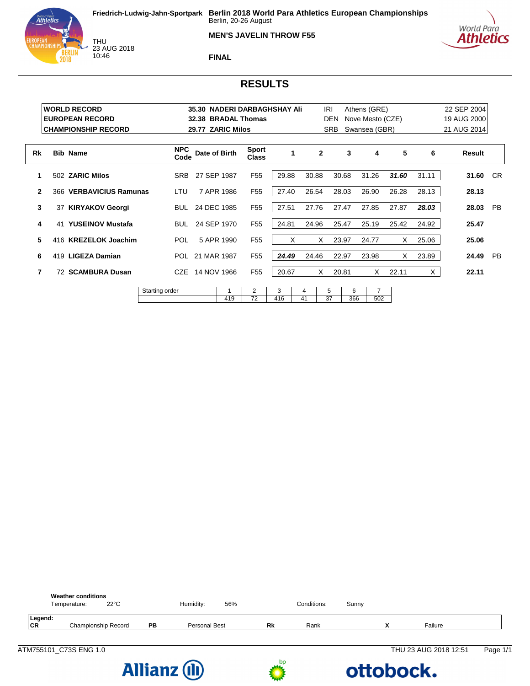



THU<br>23 AUG 2018 10:46

**FINAL**

# World Para **Athletics**

### **RESULTS**

|              |    | <b>WORLD RECORD</b><br><b>EUROPEAN RECORD</b><br><b>CHAMPIONSHIP RECORD</b> |                    | 32.38           | 29.77 ZARIC Milos | 35.30 NADERI DARBAGHSHAY Ali<br><b>BRADAL Thomas</b> |              |         | IRI<br><b>DEN</b><br><b>SRB</b> |          | Athens (GRE)<br>Nove Mesto (CZE)<br>Swansea (GBR) |       |       | 22 SEP 2004<br>19 AUG 2000<br>21 AUG 2014 |           |
|--------------|----|-----------------------------------------------------------------------------|--------------------|-----------------|-------------------|------------------------------------------------------|--------------|---------|---------------------------------|----------|---------------------------------------------------|-------|-------|-------------------------------------------|-----------|
| Rk           |    | <b>Bib Name</b>                                                             | <b>NPC</b><br>Code | Date of Birth   |                   | <b>Sport</b><br><b>Class</b>                         | $\mathbf{1}$ |         | $\mathbf{2}$                    | 3        | 4                                                 | 5     | 6     | Result                                    |           |
| 1            |    | 502 ZARIC Milos                                                             | SRB                | 27 SEP 1987     |                   | F <sub>55</sub>                                      | 29.88        | 30.88   |                                 | 30.68    | 31.26                                             | 31.60 | 31.11 | 31.60                                     | CR.       |
| $\mathbf{2}$ |    | 366 VERBAVICIUS Ramunas                                                     | LTU                |                 | 7 APR 1986        | F <sub>55</sub>                                      | 27.40        | 26.54   |                                 | 28.03    | 26.90                                             | 26.28 | 28.13 | 28.13                                     |           |
| 3            | 37 | <b>KIRYAKOV Georgi</b>                                                      | <b>BUL</b>         | 24 DEC 1985     |                   | F <sub>55</sub>                                      | 27.51        | 27.76   |                                 | 27.47    | 27.85                                             | 27.87 | 28.03 | 28.03                                     | <b>PB</b> |
| 4            |    | 41 YUSEINOV Mustafa                                                         | <b>BUL</b>         | 24 SEP 1970     |                   | F <sub>55</sub>                                      | 24.81        | 24.96   |                                 | 25.47    | 25.19                                             | 25.42 | 24.92 | 25.47                                     |           |
| 5            |    | 416 KREZELOK Joachim                                                        | <b>POL</b>         |                 | 5 APR 1990        | F <sub>55</sub>                                      | X            |         | X                               | 23.97    | 24.77                                             | X     | 25.06 | 25.06                                     |           |
| 6            |    | 419 LIGEZA Damian                                                           |                    | POL 21 MAR 1987 |                   | F <sub>55</sub>                                      | 24.49        | 24.46   |                                 | 22.97    | 23.98                                             | X     | 23.89 | 24.49                                     | <b>PB</b> |
| 7            |    | 72 SCAMBURA Dusan                                                           | CZE                | 14 NOV 1966     |                   | F <sub>55</sub>                                      | 20.67        |         | X                               | 20.81    | X                                                 | 22.11 | X.    | 22.11                                     |           |
|              |    |                                                                             | Starting order     |                 | 419               | 2<br>72                                              | 3<br>416     | 4<br>41 | 5<br>37                         | 6<br>366 | $\overline{7}$<br>502                             |       |       |                                           |           |





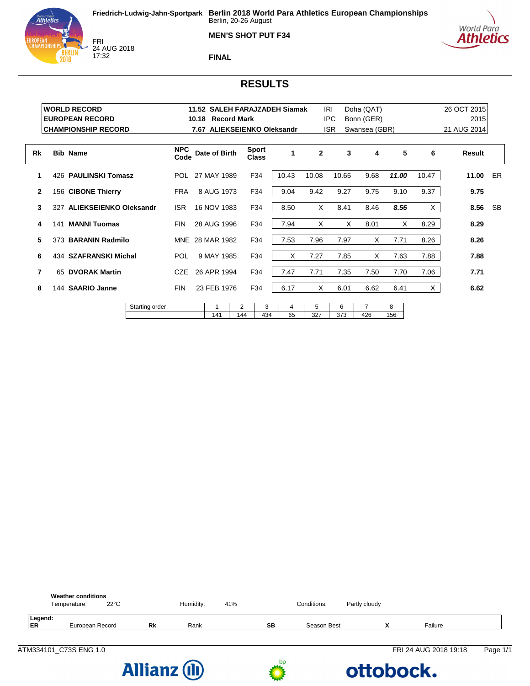



 $\mathsf{L}$ 

FRI<br>24 AUG 2018 17:32



#### **FINAL**

### **RESULTS**

|              |     | <b>WORLD RECORD</b><br><b>EUROPEAN RECORD</b><br><b>CHAMPIONSHIP RECORD</b> |                |                    | 10.18                                          | <b>Record Mark</b> |          |                              | 11.52 SALEH FARAJZADEH Siamak<br>7.67 ALIEKSEIENKO Oleksandr |              | IRI<br><b>IPC</b><br><b>ISR</b> | Doha (QAT)<br>Bonn (GER)<br>Swansea (GBR) |          |       | 26 OCT 2015<br>2015<br>21 AUG 2014 |           |
|--------------|-----|-----------------------------------------------------------------------------|----------------|--------------------|------------------------------------------------|--------------------|----------|------------------------------|--------------------------------------------------------------|--------------|---------------------------------|-------------------------------------------|----------|-------|------------------------------------|-----------|
| Rk           |     | <b>Bib Name</b>                                                             |                | <b>NPC</b><br>Code |                                                | Date of Birth      |          | <b>Sport</b><br><b>Class</b> | 1                                                            | $\mathbf{2}$ | 3                               | 4                                         | 5        | 6     | Result                             |           |
|              |     | 426 PAULINSKI Tomasz                                                        |                |                    | POL 27 MAY 1989                                |                    |          | F34                          | 10.43                                                        | 10.08        | 10.65                           | 9.68                                      | 11.00    | 10.47 | 11.00                              | ER        |
| $\mathbf{2}$ |     | 156 CIBONE Thierry                                                          |                | <b>FRA</b>         | 8 AUG 1973<br>F34<br><b>ISR</b><br>16 NOV 1983 |                    |          |                              | 9.04                                                         | 9.42         | 9.27                            | 9.75                                      | 9.10     | 9.37  | 9.75                               |           |
| 3            | 327 | <b>ALIEKSEIENKO Oleksandr</b>                                               |                |                    |                                                |                    |          | F34                          | 8.50                                                         | X            | 8.41                            | 8.46                                      | 8.56     | X.    | 8.56                               | <b>SB</b> |
| 4            | 141 | <b>MANNI Tuomas</b>                                                         |                | <b>FIN</b>         | 28 AUG 1996                                    |                    |          | F34                          | 7.94                                                         | X            | X                               | 8.01                                      | X        | 8.29  | 8.29                               |           |
| 5            |     | 373 BARANIN Radmilo                                                         |                |                    | MNE 28 MAR 1982                                |                    |          | F34                          | 7.53                                                         | 7.96         | 7.97                            | X                                         | 7.71     | 8.26  | 8.26                               |           |
| 6            |     | 434 SZAFRANSKI Michal                                                       |                | <b>POL</b>         |                                                | 9 MAY 1985         |          | F34                          | X                                                            | 7.27         | 7.85                            | X                                         | 7.63     | 7.88  | 7.88                               |           |
| 7            |     | 65 DVORAK Martin                                                            |                | CZE                | 26 APR 1994                                    |                    |          | F34                          | 7.47                                                         | 7.71         | 7.35                            | 7.50                                      | 7.70     | 7.06  | 7.71                               |           |
| 8            |     | 144 SAARIO Janne                                                            |                | <b>FIN</b>         | 23 FEB 1976<br>F34                             |                    |          |                              | 6.17                                                         | X            | 6.01                            | 6.62                                      | 6.41     | X     | 6.62                               |           |
|              |     |                                                                             | Starting order |                    |                                                | 1<br>141           | 2<br>144 | 3<br>434                     | 4<br>65                                                      | 5<br>327     | 6<br>373                        | 7<br>426                                  | 8<br>156 |       |                                    |           |

|               | <b>Weather conditions</b><br>$22^{\circ}$ C<br>Temperature: |           | Humidity: | 41% |    | Conditions: | Partly cloudy |                       |          |
|---------------|-------------------------------------------------------------|-----------|-----------|-----|----|-------------|---------------|-----------------------|----------|
| Legend:<br>ER | European Record                                             | <b>Rk</b> | Rank      |     | SВ | Season Best |               | Failure               |          |
|               | ATM334101 C73S ENG 1.0                                      |           |           |     |    |             |               | FRI 24 AUG 2018 19:18 | Page 1/1 |



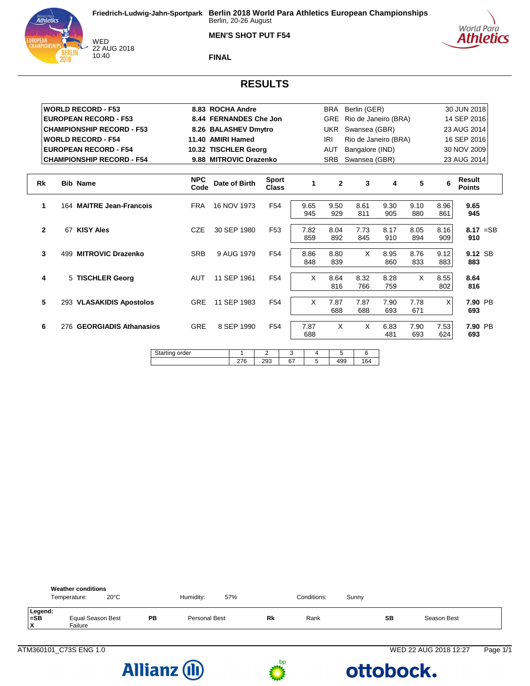

**MEN'S SHOT PUT F54**



**FINAL**

# **RESULTS**

|              | <b>WORLD RECORD - F53</b>           |                    | 8.83 ROCHA Andre       |                              |         |              | BRA            | Berlin (GER)    |                      |             |             | 30 JUN 2018             |
|--------------|-------------------------------------|--------------------|------------------------|------------------------------|---------|--------------|----------------|-----------------|----------------------|-------------|-------------|-------------------------|
|              | <b>EUROPEAN RECORD - F53</b>        |                    | 8.44 FERNANDES Che Jon |                              |         |              | <b>GRE</b>     |                 | Rio de Janeiro (BRA) |             |             | 14 SEP 2016             |
|              | <b>CHAMPIONSHIP RECORD - F53</b>    |                    | 8.26 BALASHEV Dmytro   |                              |         |              | UKR            | Swansea (GBR)   |                      |             |             | 23 AUG 2014             |
|              | <b>WORLD RECORD - F54</b>           |                    | 11.40 AMIRI Hamed      |                              |         |              | IRI            |                 | Rio de Janeiro (BRA) |             |             | 16 SEP 2016             |
|              | <b>EUROPEAN RECORD - F54</b>        |                    | 10.32 TISCHLER Georg   |                              |         |              | <b>AUT</b>     | Bangalore (IND) |                      |             |             | 30 NOV 2009             |
|              | <b>CHAMPIONSHIP RECORD - F54</b>    |                    | 9.88 MITROVIC Drazenko |                              |         |              | <b>SRB</b>     | Swansea (GBR)   |                      |             |             | 23 AUG 2014             |
|              |                                     |                    |                        |                              |         |              |                |                 |                      |             |             |                         |
| <b>Rk</b>    | <b>Bib Name</b>                     | <b>NPC</b><br>Code | Date of Birth          | <b>Sport</b><br><b>Class</b> |         | $\mathbf{1}$ | $\overline{2}$ | 3               | 4                    | 5           | 6           | Result<br><b>Points</b> |
| 1            | 164 MAITRE Jean-Francois            | <b>FRA</b>         | 16 NOV 1973            | F <sub>54</sub>              |         | 9.65<br>945  | 9.50<br>929    | 8.61<br>811     | 9.30<br>905          | 9.10<br>880 | 8.96<br>861 | 9.65<br>945             |
| $\mathbf{2}$ | 67 KISY Ales                        | <b>CZE</b>         | 30 SEP 1980            | F <sub>53</sub>              |         | 7.82<br>859  | 8.04<br>892    | 7.73<br>845     | 8.17<br>910          | 8.05<br>894 | 8.16<br>909 | $8.17 = SB$<br>910      |
| 3            | 499 MITROVIC Drazenko               | <b>SRB</b>         | 9 AUG 1979             | F54                          |         | 8.86<br>848  | 8.80<br>839    | X               | 8.95<br>860          | 8.76<br>833 | 9.12<br>883 | 9.12 SB<br>883          |
| 4            | 5 TISCHLER Georg                    | <b>AUT</b>         | 11 SEP 1961            | F <sub>54</sub>              |         | X            | 8.64<br>816    | 8.32<br>766     | 8.28<br>759          | X           | 8.55<br>802 | 8.64<br>816             |
| 5            | 293 VLASAKIDIS Apostolos            | <b>GRE</b>         | 11 SEP 1983            | F <sub>54</sub>              |         | X            | 7.87<br>688    | 7.87<br>688     | 7.90<br>693          | 7.78<br>671 | X           | 7.90 PB<br>693          |
| 6            | <b>GEORGIADIS Athanasios</b><br>276 | GRE                | 8 SEP 1990             | F54                          |         | 7.87<br>688  | X              | X               | 6.83<br>481          | 7.90<br>693 | 7.53<br>624 | 7.90 PB<br>693          |
|              |                                     |                    | 1                      |                              |         |              |                |                 |                      |             |             |                         |
|              |                                     | Starting order     | 276                    | $\overline{2}$<br>293        | 3<br>67 | 4<br>5       | 5<br>499       | 6<br>164        |                      |             |             |                         |

|                     | <b>Weather conditions</b><br>Temperature: | $20^{\circ}$ C |    | Humidity:     | 57% |           | Conditions: | Sunny |           |             |  |
|---------------------|-------------------------------------------|----------------|----|---------------|-----|-----------|-------------|-------|-----------|-------------|--|
| Legend:<br>=SB<br>X | Equal Season Best<br>Failure              |                | PB | Personal Best |     | <b>Rk</b> | Rank        |       | <b>SB</b> | Season Best |  |





ATM360101\_C73S ENG 1.0 WED 22 AUG 2018 12:27 Page 1/1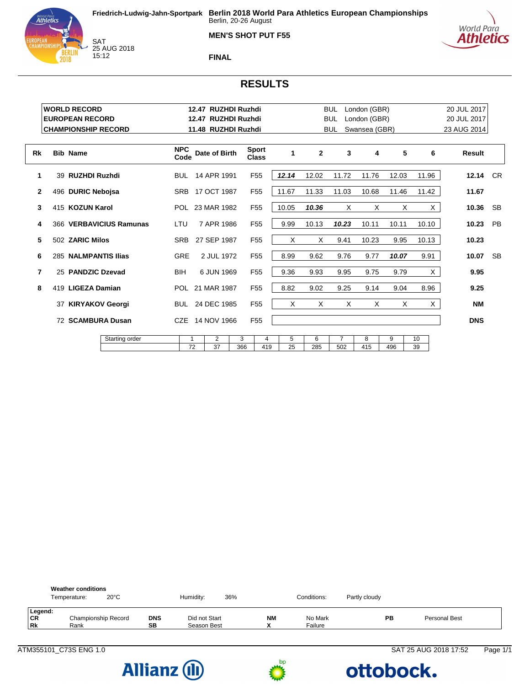

**MEN'S SHOT PUT F55**



**FINAL**

# **RESULTS**

|              | <b>WORLD RECORD</b>        |                |                    | 12.47 RUZHDI Ruzhdi |                 |                              |          |              | <b>BUL</b>     | London (GBR)  |          |          | 20 JUL 2017 |           |
|--------------|----------------------------|----------------|--------------------|---------------------|-----------------|------------------------------|----------|--------------|----------------|---------------|----------|----------|-------------|-----------|
|              | <b>EUROPEAN RECORD</b>     |                |                    | 12.47 RUZHDI Ruzhdi |                 |                              |          |              | <b>BUL</b>     | London (GBR)  |          |          | 20 JUL 2017 |           |
|              | <b>CHAMPIONSHIP RECORD</b> |                |                    | 11.48 RUZHDI Ruzhdi |                 |                              |          |              | <b>BUL</b>     | Swansea (GBR) |          |          | 23 AUG 2014 |           |
| Rk           | <b>Bib Name</b>            |                | <b>NPC</b><br>Code | Date of Birth       |                 | <b>Sport</b><br><b>Class</b> | 1        | $\mathbf{2}$ | 3              | 4             | 5        | 6        | Result      |           |
| 1            | 39 RUZHDI Ruzhdi           |                |                    | BUL 14 APR 1991     |                 | F <sub>55</sub>              | 12.14    | 12.02        | 11.72          | 11.76         | 12.03    | 11.96    | 12.14       | <b>CR</b> |
| $\mathbf{2}$ | 496 DURIC Nebojsa          |                | <b>SRB</b>         | 17 OCT 1987         |                 | F <sub>55</sub>              | 11.67    | 11.33        | 11.03          | 10.68         | 11.46    | 11.42    | 11.67       |           |
| 3            | 415 KOZUN Karol            |                |                    | POL 23 MAR 1982     |                 | F <sub>55</sub>              | 10.05    | 10.36        | $\times$       | X             | X        | X        | 10.36       | <b>SB</b> |
| 4            | 366 VERBAVICIUS Ramunas    | LTU            | 7 APR 1986         |                     | F <sub>55</sub> | 9.99                         | 10.13    | 10.23        | 10.11          | 10.11         | 10.10    | 10.23    | <b>PB</b>   |           |
| 5            | 502 ZARIC Milos            | <b>SRB</b>     | 27 SEP 1987        |                     | F <sub>55</sub> | X                            | X        | 9.41         | 10.23          | 9.95          | 10.13    | 10.23    |             |           |
| 6            | 285 NALMPANTIS Ilias       |                | <b>GRE</b>         | 2 JUL 1972          |                 | F <sub>55</sub>              | 8.99     | 9.62         | 9.76           | 9.77          | 10.07    | 9.91     | 10.07       | <b>SB</b> |
| 7            | 25 PANDZIC Dzevad          |                | <b>BIH</b>         | 6 JUN 1969          |                 | F <sub>55</sub>              | 9.36     | 9.93         | 9.95           | 9.75          | 9.79     | $\times$ | 9.95        |           |
| 8            | 419 LIGEZA Damian          |                |                    | POL 21 MAR 1987     |                 | F <sub>55</sub>              | 8.82     | 9.02         | 9.25           | 9.14          | 9.04     | 8.96     | 9.25        |           |
|              | 37 KIRYAKOV Georgi         |                |                    | 24 DEC 1985         |                 | F <sub>55</sub>              | $\times$ | X            | $\times$       | X             | $\times$ | $\times$ | <b>NM</b>   |           |
|              | 72 SCAMBURA Dusan          |                |                    | CZE 14 NOV 1966     |                 | F <sub>55</sub>              |          |              |                |               |          |          | <b>DNS</b>  |           |
|              |                            | Starting order | 1                  | 2                   | 3               | 4                            | 5        | 6            | $\overline{7}$ | 8             | 9        | 10       |             |           |
|              |                            |                | 72                 | 37                  | 366             | 419                          | 25       | 285          | 502            | 415           | 496      | 39       |             |           |

|                            | <b>Weather conditions</b><br>Temperature: | $20^{\circ}$ C |           | Humidity:                    | 36% |                 | Conditions:        | Partly cloudy |               |
|----------------------------|-------------------------------------------|----------------|-----------|------------------------------|-----|-----------------|--------------------|---------------|---------------|
| Legend:<br>CR<br><b>Rk</b> | Championship Record<br>Rank               |                | DNS<br>SB | Did not Start<br>Season Best |     | <b>NM</b><br>٠. | No Mark<br>Failure | PB            | Personal Best |





ATM355101\_C73S ENG 1.0 **SAT 25 AUG 2018 17:52** Page 1/1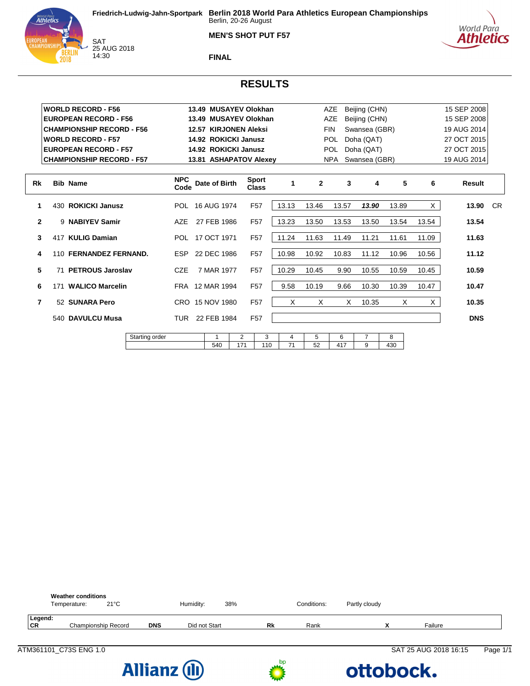





SAT<br>25 AUG 2018 14:30

**FINAL**

# **RESULTS**

|              |     | <b>WORLD RECORD - F56</b>        |                |                    | 13.49 MUSAYEV Olokhan  |     |                |                              |       |              | <b>AZE</b> | Beijing (CHN) |       |       | 15 SEP 2008 |           |
|--------------|-----|----------------------------------|----------------|--------------------|------------------------|-----|----------------|------------------------------|-------|--------------|------------|---------------|-------|-------|-------------|-----------|
|              |     | <b>EUROPEAN RECORD - F56</b>     |                |                    | 13.49 MUSAYEV Olokhan  |     |                |                              |       |              | <b>AZE</b> | Beijing (CHN) |       |       | 15 SEP 2008 |           |
|              |     | <b>CHAMPIONSHIP RECORD - F56</b> |                |                    | 12.57 KIRJONEN Aleksi  |     |                |                              |       |              | <b>FIN</b> | Swansea (GBR) |       |       | 19 AUG 2014 |           |
|              |     | <b>WORLD RECORD - F57</b>        |                |                    | 14.92 ROKICKI Janusz   |     |                |                              |       |              | <b>POL</b> | Doha (QAT)    |       |       | 27 OCT 2015 |           |
|              |     | <b>EUROPEAN RECORD - F57</b>     |                |                    | 14.92 ROKICKI Janusz   |     |                |                              |       |              | <b>POL</b> | Doha (QAT)    |       |       | 27 OCT 2015 |           |
|              |     | <b>CHAMPIONSHIP RECORD - F57</b> |                |                    | 13.81 ASHAPATOV Alexey |     |                |                              |       |              | <b>NPA</b> | Swansea (GBR) |       |       | 19 AUG 2014 |           |
|              |     |                                  |                |                    |                        |     |                |                              |       |              |            |               |       |       |             |           |
| Rk           |     | <b>Bib Name</b>                  |                | <b>NPC</b><br>Code | Date of Birth          |     |                | <b>Sport</b><br><b>Class</b> | 1     | $\mathbf{2}$ | 3          | 4             | 5     | 6     | Result      |           |
| 1            |     | 430 ROKICKI Janusz               |                |                    | POL 16 AUG 1974        |     |                | F <sub>57</sub>              | 13.13 | 13.46        | 13.57      | 13.90         | 13.89 | X     | 13.90       | <b>CR</b> |
| $\mathbf{2}$ |     | 9 NABIYEV Samir                  |                | <b>AZE</b>         | 27 FEB 1986            |     |                | F <sub>57</sub>              | 13.23 | 13.50        | 13.53      | 13.50         | 13.54 | 13.54 | 13.54       |           |
| 3            |     | 417 KULIG Damian                 |                |                    | POL 17 OCT 1971        |     |                | F <sub>57</sub>              | 11.24 | 11.63        | 11.49      | 11.21         | 11.61 | 11.09 | 11.63       |           |
| 4            |     | 110 FERNANDEZ FERNAND.           |                | <b>ESP</b>         | 22 DEC 1986            |     |                | F <sub>57</sub>              | 10.98 | 10.92        | 10.83      | 11.12         | 10.96 | 10.56 | 11.12       |           |
| 5            |     | 71 PETROUS Jaroslav              |                | <b>CZE</b>         | 7 MAR 1977             |     |                | F <sub>57</sub>              | 10.29 | 10.45        | 9.90       | 10.55         | 10.59 | 10.45 | 10.59       |           |
| 6            | 171 | <b>WALICO Marcelin</b>           |                |                    | FRA 12 MAR 1994        |     |                | F <sub>57</sub>              | 9.58  | 10.19        | 9.66       | 10.30         | 10.39 | 10.47 | 10.47       |           |
| 7            |     | 52 SUNARA Pero                   |                |                    | CRO 15 NOV 1980        |     |                | F <sub>57</sub>              | X     | X            | X          | 10.35         | X     | X     | 10.35       |           |
|              |     | 540 DAVULCU Musa                 |                | TUR.               | 22 FEB 1984            |     |                | F <sub>57</sub>              |       |              |            |               |       |       | <b>DNS</b>  |           |
|              |     |                                  | Starting order |                    |                        | 1   | $\overline{2}$ | 3                            | 4     | 5            | 6          | 7             | 8     |       |             |           |
|              |     |                                  |                |                    |                        | 540 | 171            | 110                          | 71    | 52           | 417        | 9             | 430   |       |             |           |







#### ATM361101\_C73S ENG 1.0 SAT 25 AUG 2018 16:15 Page 1/1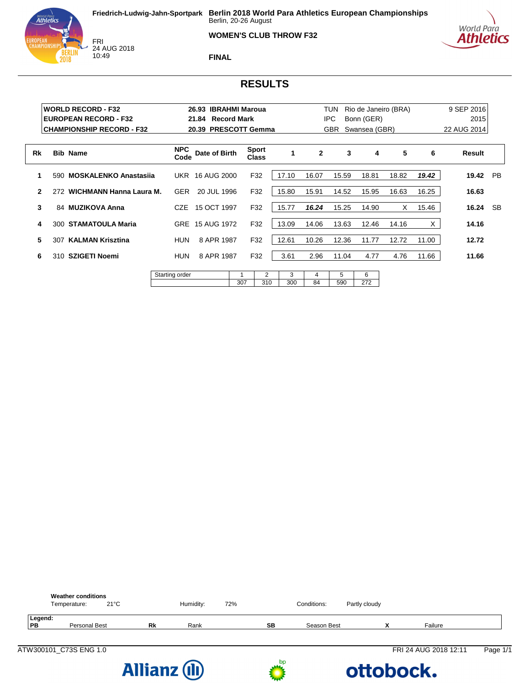#### **WOMEN'S CLUB THROW F32**





**FINAL**

# **RESULTS**

|    |     | <b>WORLD RECORD - F32</b><br><b>EUROPEAN RECORD - F32</b><br><b>CHAMPIONSHIP RECORD - F32</b> |                    | 26.93 IBRAHMI Maroua<br>21.84 Record Mark<br>20.39 PRESCOTT Gemma |     |                              |          |              | TUN<br><b>IPC</b><br><b>GBR</b> | Rio de Janeiro (BRA)<br>Bonn (GER)<br>Swansea (GBR) |       |       | 9 SEP 2016<br>2015<br>22 AUG 2014 |           |
|----|-----|-----------------------------------------------------------------------------------------------|--------------------|-------------------------------------------------------------------|-----|------------------------------|----------|--------------|---------------------------------|-----------------------------------------------------|-------|-------|-----------------------------------|-----------|
| Rk |     | <b>Bib Name</b>                                                                               | <b>NPC</b><br>Code | Date of Birth                                                     |     | <b>Sport</b><br><b>Class</b> | 1        | $\mathbf{2}$ | 3                               | 4                                                   | 5     | 6     | Result                            |           |
| 1  | 590 | <b>MOSKALENKO Anastasija</b>                                                                  |                    | UKR 16 AUG 2000                                                   |     | F32                          | 17.10    | 16.07        | 15.59                           | 18.81                                               | 18.82 | 19.42 | 19.42                             | <b>PB</b> |
| 2  | 272 | WICHMANN Hanna Laura M.                                                                       | <b>GER</b>         | 20 JUL 1996                                                       |     | F32                          | 15.80    | 15.91        | 14.52                           | 15.95                                               | 16.63 | 16.25 | 16.63                             |           |
| 3  |     | 84 MUZIKOVA Anna                                                                              | CZE                | 15 OCT 1997                                                       |     | F32                          | 15.77    | 16.24        | 15.25                           | 14.90                                               | X     | 15.46 | 16.24                             | <b>SB</b> |
| 4  | 300 | <b>STAMATOULA Maria</b>                                                                       | GRE                | 15 AUG 1972                                                       |     | F32                          | 13.09    | 14.06        | 13.63                           | 12.46                                               | 14.16 | X.    | 14.16                             |           |
| 5  | 307 | <b>KALMAN Krisztina</b>                                                                       | HUN                | 8 APR 1987                                                        |     | F32                          | 12.61    | 10.26        | 12.36                           | 11.77                                               | 12.72 | 11.00 | 12.72                             |           |
| 6  | 310 | SZIGETI Noemi                                                                                 | <b>HUN</b>         | 8 APR 1987                                                        |     | F32                          | 3.61     | 2.96         | 11.04                           | 4.77                                                | 4.76  | 11.66 | 11.66                             |           |
|    |     |                                                                                               | Starting order     |                                                                   | 307 | 2<br>310                     | 3<br>300 | 4<br>84      | 5<br>590                        | 6<br>272                                            |       |       |                                   |           |



**Allianz (II)** 

bp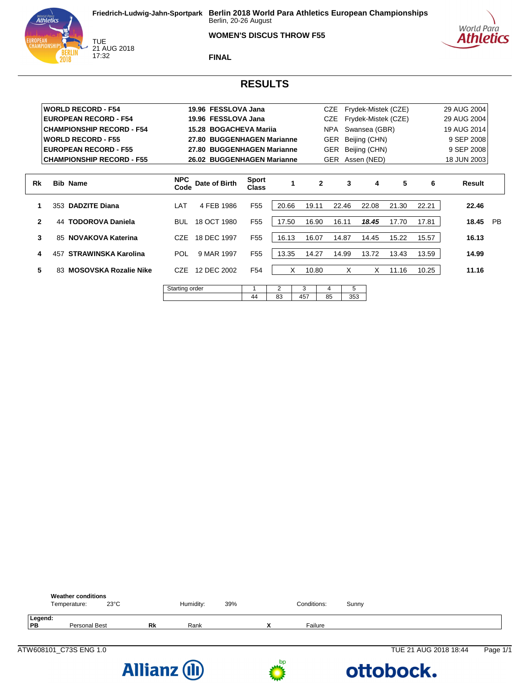#### **WOMEN'S DISCUS THROW F55**





TUE<br>21 AUG 2018 17:32

**FINAL**

# **RESULTS**

|              |     | <b>WORLD RECORD - F54</b>        |                    | 19.96 FESSLOVA Jana        |                              |       |       | CZE          |       | Frydek-Mistek (CZE) |       |       | 29 AUG 2004 |           |
|--------------|-----|----------------------------------|--------------------|----------------------------|------------------------------|-------|-------|--------------|-------|---------------------|-------|-------|-------------|-----------|
|              |     | <b>EUROPEAN RECORD - F54</b>     |                    | 19.96 FESSLOVA Jana        |                              |       |       | <b>CZE</b>   |       | Frydek-Mistek (CZE) |       |       | 29 AUG 2004 |           |
|              |     | <b>CHAMPIONSHIP RECORD - F54</b> |                    | 15.28 BOGACHEVA Marija     |                              |       |       | NPA          |       | Swansea (GBR)       |       |       | 19 AUG 2014 |           |
|              |     | <b>WORLD RECORD - F55</b>        |                    | 27.80 BUGGENHAGEN Marianne |                              |       |       | <b>GER</b>   |       | Beijing (CHN)       |       |       | 9 SEP 2008  |           |
|              |     | <b>EUROPEAN RECORD - F55</b>     |                    | 27.80 BUGGENHAGEN Marianne |                              |       |       | <b>GER</b>   |       | Beijing (CHN)       |       |       | 9 SEP 2008  |           |
|              |     | <b>CHAMPIONSHIP RECORD - F55</b> |                    | 26.02 BUGGENHAGEN Marianne |                              |       |       | <b>GER</b>   |       | Assen (NED)         |       |       | 18 JUN 2003 |           |
|              |     |                                  |                    |                            |                              |       |       |              |       |                     |       |       |             |           |
| Rk           |     | <b>Bib Name</b>                  | <b>NPC</b><br>Code | Date of Birth              | <b>Sport</b><br><b>Class</b> |       |       | $\mathbf{2}$ | 3     | 4                   | 5     | 6     | Result      |           |
|              | 353 | <b>DADZITE Diana</b>             | LAT                | 4 FEB 1986                 | F <sub>55</sub>              | 20.66 | 19.11 |              | 22.46 | 22.08               | 21.30 | 22.21 | 22.46       |           |
| $\mathbf{2}$ | 44  | <b>TODOROVA Daniela</b>          | <b>BUL</b>         | 18 OCT 1980                | F <sub>55</sub>              | 17.50 | 16.90 |              | 16.11 | 18.45               | 17.70 | 17.81 | 18.45       | <b>PB</b> |
| 3            |     | 85 NOVAKOVA Katerina             | CZE                | 18 DEC 1997                | F <sub>55</sub>              | 16.13 | 16.07 |              | 14.87 | 14.45               | 15.22 | 15.57 | 16.13       |           |
| 4            | 457 | <b>STRAWINSKA Karolina</b>       | <b>POL</b>         | 9 MAR 1997                 | F <sub>55</sub>              | 13.35 | 14.27 |              | 14.99 | 13.72               | 13.43 | 13.59 | 14.99       |           |
| 5            | 83. | <b>MOSOVSKA Rozalie Nike</b>     | CZE                | 12 DEC 2002                | F <sub>54</sub>              | X     | 10.80 |              | X     | X                   | 11.16 | 10.25 | 11.16       |           |
|              |     |                                  | Starting order     |                            |                              | 2     | 3     | 4            | 5     |                     |       |       |             |           |
|              |     |                                  |                    |                            | 44                           | 83    | 457   | 85           | 353   |                     |       |       |             |           |

44 83 457 85 353

|               | <b>Weather conditions</b><br>Temperature: | $23^{\circ}$ C |    | Humidity: | 39% | Conditions: | Sunny |  |
|---------------|-------------------------------------------|----------------|----|-----------|-----|-------------|-------|--|
| Legend:<br>PB | <b>Personal Best</b>                      |                | Rk | Rank      |     | Failure     |       |  |



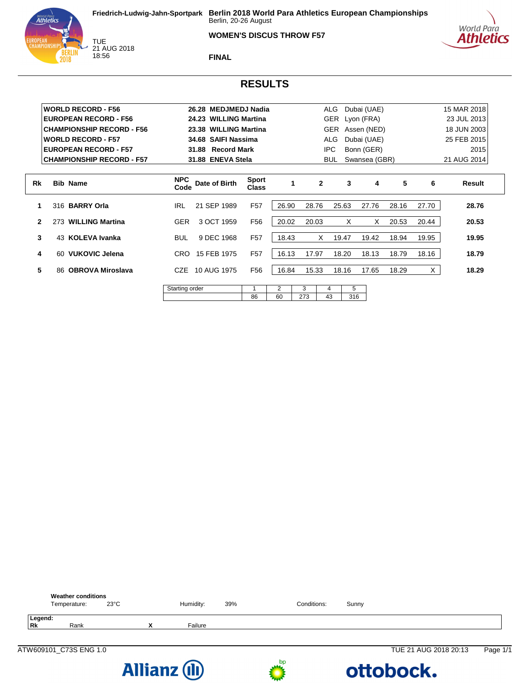#### **WOMEN'S DISCUS THROW F57**





TUE<br>21 AUG 2018 18:56

**FINAL**

#### **RESULTS**

|              |     | <b>WORLD RECORD - F56</b>        |                    | 26.28 MEDJMEDJ Nadia        |                              |       |       | ALG          |       | Dubai (UAE)   |       |       | 15 MAR 2018                                                                                         |  |  |
|--------------|-----|----------------------------------|--------------------|-----------------------------|------------------------------|-------|-------|--------------|-------|---------------|-------|-------|-----------------------------------------------------------------------------------------------------|--|--|
|              |     | <b>EUROPEAN RECORD - F56</b>     |                    | 24.23 WILLING Martina       |                              |       |       | <b>GER</b>   |       | Lyon (FRA)    |       |       | 23 JUL 2013                                                                                         |  |  |
|              |     | <b>CHAMPIONSHIP RECORD - F56</b> |                    | 23.38 WILLING Martina       |                              |       |       | <b>GER</b>   |       | Assen (NED)   |       |       | 18 JUN 2003                                                                                         |  |  |
|              |     | <b>WORLD RECORD - F57</b>        |                    | 34.68 SAIFI Nassima         |                              |       |       | <b>ALG</b>   |       | Dubai (UAE)   |       |       | 25 FEB 2015<br>2015<br>21 AUG 2014<br>6<br>Result<br>28.76<br>20.53<br>19.95<br>18.79<br>X<br>18.29 |  |  |
|              |     | <b>EUROPEAN RECORD - F57</b>     |                    | 31.88<br><b>Record Mark</b> |                              |       |       | IPC          |       | Bonn (GER)    |       |       | 27.70<br>20.44                                                                                      |  |  |
|              |     | <b>CHAMPIONSHIP RECORD - F57</b> |                    | 31.88 ENEVA Stela           |                              |       |       | BUL.         |       | Swansea (GBR) |       |       |                                                                                                     |  |  |
| Rk           |     | <b>Bib Name</b>                  | <b>NPC</b><br>Code | Date of Birth               | <b>Sport</b><br><b>Class</b> | 1     |       | $\mathbf{2}$ | 3     | 4             | 5     |       |                                                                                                     |  |  |
|              |     | 316 BARRY Orla                   | <b>IRL</b>         | 21 SEP 1989                 | F <sub>57</sub>              | 26.90 | 28.76 |              | 25.63 | 27.76         | 28.16 |       |                                                                                                     |  |  |
| $\mathbf{2}$ | 273 | <b>WILLING Martina</b>           | <b>GER</b>         | 3 OCT 1959                  | F <sub>56</sub>              | 20.02 | 20.03 |              | X     | X             | 20.53 |       |                                                                                                     |  |  |
| 3            |     | 43 KOLEVA Ivanka                 | <b>BUL</b>         | 9 DEC 1968                  | F <sub>57</sub>              | 18.43 |       | X            | 19.47 | 19.42         | 18.94 | 19.95 |                                                                                                     |  |  |
| 4            | 60  | VUKOVIC Jelena                   | CRO.               | 15 FEB 1975                 | F <sub>57</sub>              | 16.13 | 17.97 |              | 18.20 | 18.13         | 18.79 | 18.16 |                                                                                                     |  |  |
| 5            | 86  | <b>OBROVA Miroslava</b>          | CZE.               | 10 AUG 1975                 | F56                          | 16.84 | 15.33 |              | 18.16 | 17.65         | 18.29 |       |                                                                                                     |  |  |
|              |     |                                  | Starting order     |                             |                              | 2     | 3     | 4            | 5     |               |       |       |                                                                                                     |  |  |
|              |     |                                  |                    |                             | 86                           | 60    | 273   | 43           | 316   |               |       |       |                                                                                                     |  |  |





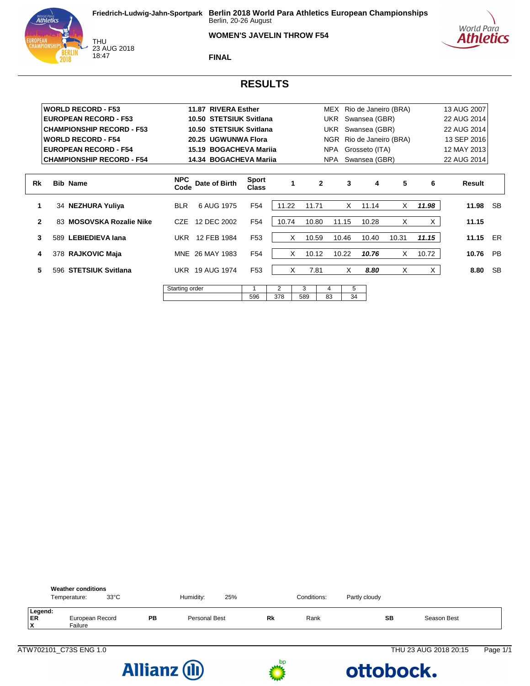#### **WOMEN'S JAVELIN THROW F54**



THU<br>23 AUG 2018 18:47

**FINAL**

#### **RESULTS**

|              | <b>WORLD RECORD - F53</b>        |                    | 11.87 RIVERA Esther     |                              |       |       |              |                    |               | MEX Rio de Janeiro (BRA) |       | 13 AUG 2007 |           |
|--------------|----------------------------------|--------------------|-------------------------|------------------------------|-------|-------|--------------|--------------------|---------------|--------------------------|-------|-------------|-----------|
|              | <b>EUROPEAN RECORD - F53</b>     |                    | 10.50 STETSIUK Svitlana |                              |       |       | UKR          |                    | Swansea (GBR) |                          |       | 22 AUG 2014 |           |
|              | <b>CHAMPIONSHIP RECORD - F53</b> |                    | 10.50 STETSIUK Svitlana |                              |       |       | UKR          |                    | Swansea (GBR) |                          |       | 22 AUG 2014 |           |
|              | <b>WORLD RECORD - F54</b>        |                    | 20.25 UGWUNWA Flora     |                              |       |       |              |                    |               | NGR Rio de Janeiro (BRA) |       | 13 SEP 2016 |           |
|              | <b>EUROPEAN RECORD - F54</b>     |                    | 15.19 BOGACHEVA Marija  |                              |       |       |              | NPA Grosseto (ITA) |               |                          |       | 12 MAY 2013 |           |
|              | <b>CHAMPIONSHIP RECORD - F54</b> |                    | 14.34 BOGACHEVA Marija  |                              |       |       | NPA          |                    | Swansea (GBR) |                          |       | 22 AUG 2014 |           |
|              |                                  |                    |                         |                              |       |       |              |                    |               |                          |       |             |           |
| Rk           | <b>Bib Name</b>                  | <b>NPC</b><br>Code | Date of Birth           | <b>Sport</b><br><b>Class</b> | 1     |       | $\mathbf{2}$ | 3                  | 4             | 5                        | 6     | Result      |           |
| 1            | 34 NEZHURA Yuliya                | <b>BLR</b>         | 6 AUG 1975              | F <sub>54</sub>              | 11.22 | 11.71 |              | X                  | 11.14         | X                        | 11.98 | 11.98       | -SB       |
| $\mathbf{2}$ | 83 MOSOVSKA Rozalie Nike         | CZE                | 12 DEC 2002             | F <sub>54</sub>              | 10.74 | 10.80 |              | 11.15              | 10.28         | X                        | X.    | 11.15       |           |
| 3            | 589 LEBIEDIEVA lana              |                    | UKR 12 FEB 1984         | F <sub>53</sub>              | X     | 10.59 |              | 10.46              | 10.40         | 10.31                    | 11.15 | 11.15 ER    |           |
| 4            | 378 RAJKOVIC Maja                |                    | MNE 26 MAY 1983         | F <sub>54</sub>              | X     | 10.12 |              | 10.22              | 10.76         | X                        | 10.72 | 10.76       | <b>PB</b> |
| 5            | 596 STETSIUK Svitlana            |                    | <b>UKR 19 AUG 1974</b>  | F <sub>53</sub>              | X     |       | 7.81         | X                  | 8.80          | X                        | X     | 8.80        | <b>SB</b> |
|              |                                  | Starting order     |                         |                              | 2     | 3     | 4            | 5                  |               |                          |       |             |           |
|              |                                  |                    |                         | 596                          | 378   | 589   | 83           | 34                 |               |                          |       |             |           |

| <b>Weather conditions</b><br>$33^{\circ}$ C<br>Temperature: |    | Humidity:     | 25% |    | Conditions: | Partly cloudy |             |
|-------------------------------------------------------------|----|---------------|-----|----|-------------|---------------|-------------|
| Legend:<br>ER<br>European Record<br>X<br>Failure            | PB | Personal Best |     | Rk | Rank        | SB            | Season Best |





#### ATW702101\_C73S ENG 1.0 THU 23 AUG 2018 20:15 Page 1/1

ottobock.

World Para<br>**Athletics**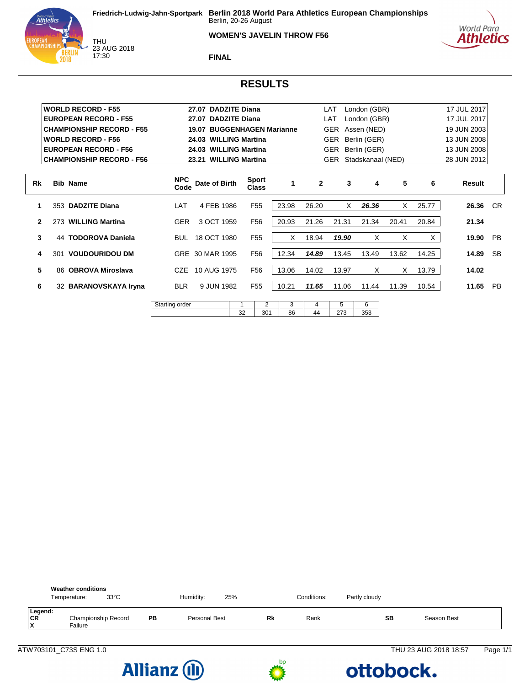#### **WOMEN'S JAVELIN THROW F56**





THU<br>23 AUG 2018 17:30

**FINAL**

# **RESULTS**

|                |     | <b>WORLD RECORD - F55</b>        |                    | 27.07 DADZITE Diana        |                              |       |              | LAT        | London (GBR)      |       |       | 17 JUL 2017 |           |
|----------------|-----|----------------------------------|--------------------|----------------------------|------------------------------|-------|--------------|------------|-------------------|-------|-------|-------------|-----------|
|                |     | <b>EUROPEAN RECORD - F55</b>     |                    | 27.07 DADZITE Diana        |                              |       |              | LAT        | London (GBR)      |       |       | 17 JUL 2017 |           |
|                |     | <b>CHAMPIONSHIP RECORD - F55</b> |                    | 19.07 BUGGENHAGEN Marianne |                              |       |              | <b>GER</b> | Assen (NED)       |       |       | 19 JUN 2003 |           |
|                |     | <b>WORLD RECORD - F56</b>        |                    | 24.03 WILLING Martina      |                              |       |              | <b>GER</b> | Berlin (GER)      |       |       | 13 JUN 2008 |           |
|                |     | <b>EUROPEAN RECORD - F56</b>     |                    | 24.03 WILLING Martina      |                              |       |              | <b>GER</b> | Berlin (GER)      |       |       | 13 JUN 2008 |           |
|                |     | <b>CHAMPIONSHIP RECORD - F56</b> |                    | 23.21 WILLING Martina      |                              |       |              | <b>GER</b> | Stadskanaal (NED) |       |       | 28 JUN 2012 |           |
|                |     |                                  |                    |                            |                              |       |              |            |                   |       |       |             |           |
| Rk             |     | <b>Bib Name</b>                  | <b>NPC</b><br>Code | Date of Birth              | <b>Sport</b><br><b>Class</b> |       | $\mathbf{2}$ | 3          | 4                 | 5     | 6     | Result      |           |
| 1.             |     | 353 DADZITE Diana                | LAT                | 4 FEB 1986                 | F <sub>55</sub>              | 23.98 | 26.20        | X          | 26.36             | X     | 25.77 | 26.36       | <b>CR</b> |
| $\overline{2}$ |     | 273 WILLING Martina              | <b>GER</b>         | 3 OCT 1959                 | F <sub>56</sub>              | 20.93 | 21.26        | 21.31      | 21.34             | 20.41 | 20.84 | 21.34       |           |
| 3              | 44  | <b>TODOROVA Daniela</b>          | <b>BUL</b>         | 18 OCT 1980                | F <sub>55</sub>              | X     | 18.94        | 19.90      | X                 | X     | X     | 19.90       | <b>PB</b> |
| 4              | 301 | <b>VOUDOURIDOU DM</b>            |                    | GRE 30 MAR 1995            | F <sub>56</sub>              | 12.34 | 14.89        | 13.45      | 13.49             | 13.62 | 14.25 | 14.89       | <b>SB</b> |
| 5              |     | 86 OBROVA Miroslava              | CZE.               | 10 AUG 1975                | F <sub>56</sub>              | 13.06 | 14.02        | 13.97      | X                 | X     | 13.79 | 14.02       |           |
| 6              |     | 32 BARANOVSKAYA Iryna            | <b>BLR</b>         | 9 JUN 1982                 | F <sub>55</sub>              | 10.21 | 11.65        | 11.06      | 11.44             | 11.39 | 10.54 | 11.65       | PB        |
|                |     |                                  |                    |                            |                              |       |              |            |                   |       |       |             |           |

| order<br>.<br>. .<br>≂ |              |                             |    |            |             |  |
|------------------------|--------------|-----------------------------|----|------------|-------------|--|
|                        | $\sim$<br>ັ້ | $\sim$ $\sim$ $\sim$<br>. . | 86 | . .<br>. . | $\sim$<br>N |  |
|                        |              |                             |    |            |             |  |

|                     | <b>Weather conditions</b><br>Temperature: | $33^{\circ}$ C |    | Humidity:     | 25% |    | Conditions: | Partly cloudy |             |  |
|---------------------|-------------------------------------------|----------------|----|---------------|-----|----|-------------|---------------|-------------|--|
| Legend:<br>CR<br>ΙX | Championship Record<br>Failure            |                | PB | Personal Best |     | Rk | Rank        | SB            | Season Best |  |



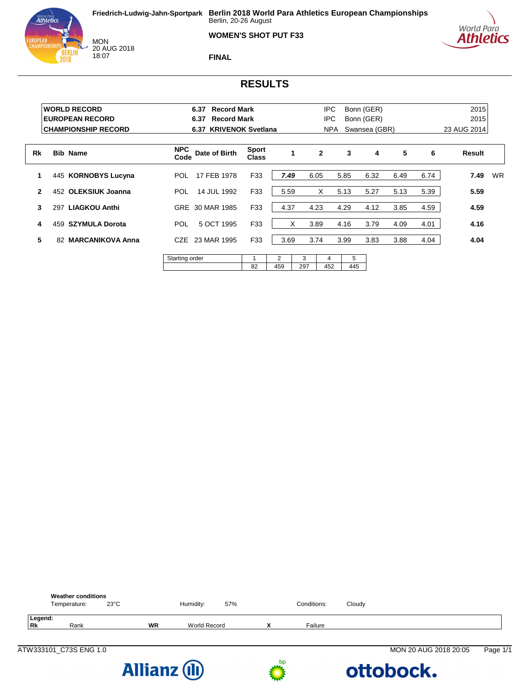







**FINAL**

# **RESULTS**

|                | <b>WORLD RECORD</b><br><b>EUROPEAN RECORD</b><br><b>CHAMPIONSHIP RECORD</b> | <b>Record Mark</b><br>6.37<br><b>Record Mark</b><br>6.37<br>6.37 | <b>KRIVENOK Svetlana</b>     |          |          | <b>IPC</b><br>IPC<br>NPA. | Bonn (GER)<br>Bonn (GER) | Swansea (GBR) |      |      | 2015<br>2015<br>23 AUG 2014 |           |
|----------------|-----------------------------------------------------------------------------|------------------------------------------------------------------|------------------------------|----------|----------|---------------------------|--------------------------|---------------|------|------|-----------------------------|-----------|
| Rk             | <b>Bib Name</b>                                                             | <b>NPC</b><br>Date of Birth<br>Code                              | <b>Sport</b><br><b>Class</b> | 1        |          | $\mathbf{2}$              | 3                        | 4             | 5    | 6    | Result                      |           |
| 1              | 445 KORNOBYS Lucyna                                                         | 17 FEB 1978<br>POL                                               | F33                          | 7.49     |          | 6.05                      | 5.85                     | 6.32          | 6.49 | 6.74 | 7.49                        | <b>WR</b> |
| $\overline{2}$ | <b>OLEKSIUK Joanna</b><br>452                                               | 14 JUL 1992<br>POL                                               | F33                          | 5.59     |          | X                         | 5.13                     | 5.27          | 5.13 | 5.39 | 5.59                        |           |
| 3              | <b>LIAGKOU Anthi</b><br>297                                                 | GRE 30 MAR 1985                                                  | F33                          | 4.37     |          | 4.23                      | 4.29                     | 4.12          | 3.85 | 4.59 | 4.59                        |           |
| 4              | <b>SZYMULA Dorota</b><br>459                                                | 5 OCT 1995<br>POL                                                | F33                          |          | X        | 3.89                      | 4.16                     | 3.79          | 4.09 | 4.01 | 4.16                        |           |
| 5.             | <b>MARCANIKOVA Anna</b><br>82                                               | CZE<br>23 MAR 1995                                               | F33                          | 3.69     |          | 3.74                      | 3.99                     | 3.83          | 3.88 | 4.04 | 4.04                        |           |
|                |                                                                             | Starting order                                                   | 82                           | 2<br>459 | 3<br>297 | 4<br>452                  | 5<br>445                 |               |      |      |                             |           |







ATW333101\_C73S ENG 1.0 MON 20 AUG 2018 20:05 Page 1/1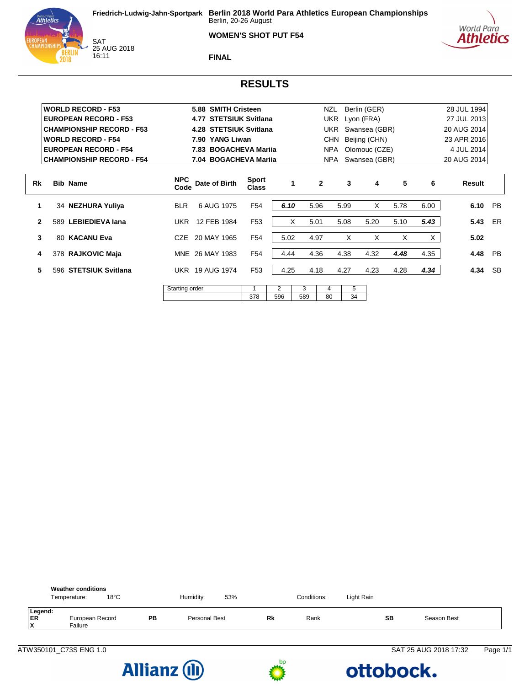#### **WOMEN'S SHOT PUT F54**





SAT<br>25 AUG 2018 16:11

**FINAL**

# **RESULTS**

|              |     | <b>WORLD RECORD - F53</b>        |                    | 5.88 SMITH Cristeen              |                              |      |     | NZL          |      | Berlin (GER)  |      |      | 28 JUL 1994 |           |
|--------------|-----|----------------------------------|--------------------|----------------------------------|------------------------------|------|-----|--------------|------|---------------|------|------|-------------|-----------|
|              |     | <b>EUROPEAN RECORD - F53</b>     |                    | <b>STETSIUK Svitlana</b><br>4.77 |                              |      |     | UKR          |      | Lyon (FRA)    |      |      | 27 JUL 2013 |           |
|              |     | <b>CHAMPIONSHIP RECORD - F53</b> |                    | 4.28 STETSIUK Svitlana           |                              |      |     | UKR          |      | Swansea (GBR) |      |      | 20 AUG 2014 |           |
|              |     | <b>WORLD RECORD - F54</b>        |                    | 7.90 YANG Liwan                  |                              |      |     | <b>CHN</b>   |      | Beijing (CHN) |      |      | 23 APR 2016 |           |
|              |     | <b>EUROPEAN RECORD - F54</b>     |                    | 7.83 BOGACHEVA Mariia            |                              |      |     | NPA          |      | Olomouc (CZE) |      |      | 4 JUL 2014  |           |
|              |     | <b>CHAMPIONSHIP RECORD - F54</b> |                    | 7.04 BOGACHEVA Mariia            |                              |      |     | NPA          |      | Swansea (GBR) |      |      | 20 AUG 2014 |           |
|              |     |                                  |                    |                                  |                              |      |     |              |      |               |      |      |             |           |
| Rk           |     | <b>Bib Name</b>                  | <b>NPC</b><br>Code | Date of Birth                    | <b>Sport</b><br><b>Class</b> |      |     | $\mathbf{2}$ | 3    | 4             | 5    | 6    | Result      |           |
|              |     | 34 NEZHURA Yuliya                | <b>BLR</b>         | 6 AUG 1975                       | F <sub>54</sub>              | 6.10 |     | 5.96         | 5.99 | X             | 5.78 | 6.00 | 6.10        | <b>PB</b> |
| $\mathbf{2}$ | 589 | <b>LEBIEDIEVA lana</b>           | UKR                | 12 FEB 1984                      | F <sub>53</sub>              |      | X   | 5.01         | 5.08 | 5.20          | 5.10 | 5.43 | 5.43        | ER        |
| 3            |     | 80 KACANU Eva                    | <b>CZE</b>         | 20 MAY 1965                      | F54                          | 5.02 |     | 4.97         | X    | X             | X    | X.   | 5.02        |           |
| 4            |     | 378 RAJKOVIC Maja                |                    | MNE 26 MAY 1983                  | F <sub>54</sub>              | 4.44 |     | 4.36         | 4.38 | 4.32          | 4.48 | 4.35 | 4.48        | <b>PB</b> |
| 5            |     | 596 STETSIUK Svitlana            |                    | <b>UKR 19 AUG 1974</b>           | F <sub>53</sub>              | 4.25 |     | 4.18         | 4.27 | 4.23          | 4.28 | 4.34 | 4.34        | <b>SB</b> |
|              |     |                                  | Starting order     |                                  |                              | 2    | 3   | 4            | 5    |               |      |      |             |           |
|              |     |                                  |                    |                                  | 378                          | 596  | 589 | 80           | 34   |               |      |      |             |           |

| <b>Weather conditions</b><br>$18^{\circ}$ C<br>Temperature: |    | Humidity:     | 53% |           | Conditions: | Light Rain |           |             |  |
|-------------------------------------------------------------|----|---------------|-----|-----------|-------------|------------|-----------|-------------|--|
| Legend:<br>ER<br>European Record<br>Iχ<br>Failure           | PB | Personal Best |     | <b>Rk</b> | Rank        |            | <b>SB</b> | Season Best |  |





#### ATW350101\_C73S ENG 1.0 SAT 25 AUG 2018 17:32 Page 1/1